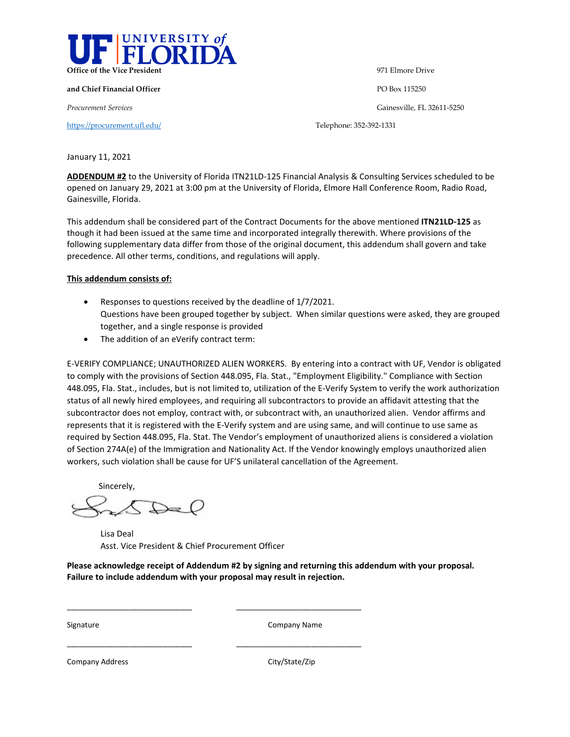

**and Chief Financial Officer** PO Box 115250

<https://procurement.ufl.edu/>Telephone: 352-392-1331

**Office of the Vice President** 971 Elmore Drive

*Procurement Services* Gainesville, FL 32611-5250

January 11, 2021

**ADDENDUM #2** to the University of Florida ITN21LD-125 Financial Analysis & Consulting Services scheduled to be opened on January 29, 2021 at 3:00 pm at the University of Florida, Elmore Hall Conference Room, Radio Road, Gainesville, Florida.

This addendum shall be considered part of the Contract Documents for the above mentioned **ITN21LD-125** as though it had been issued at the same time and incorporated integrally therewith. Where provisions of the following supplementary data differ from those of the original document, this addendum shall govern and take precedence. All other terms, conditions, and regulations will apply.

## **This addendum consists of:**

- Responses to questions received by the deadline of 1/7/2021. Questions have been grouped together by subject. When similar questions were asked, they are grouped together, and a single response is provided
- The addition of an eVerify contract term:

E-VERIFY COMPLIANCE; UNAUTHORIZED ALIEN WORKERS. By entering into a contract with UF, Vendor is obligated to comply with the provisions of Section 448.095, Fla. Stat., "Employment Eligibility." Compliance with Section 448.095, Fla. Stat., includes, but is not limited to, utilization of the E-Verify System to verify the work authorization status of all newly hired employees, and requiring all subcontractors to provide an affidavit attesting that the subcontractor does not employ, contract with, or subcontract with, an unauthorized alien. Vendor affirms and represents that it is registered with the E-Verify system and are using same, and will continue to use same as required by Section 448.095, Fla. Stat. The Vendor's employment of unauthorized aliens is considered a violation of Section 274A(e) of the Immigration and Nationality Act. If the Vendor knowingly employs unauthorized alien workers, such violation shall be cause for UF'S unilateral cancellation of the Agreement.

Sincerely,

Lisa Deal Asst. Vice President & Chief Procurement Officer

\_\_\_\_\_\_\_\_\_\_\_\_\_\_\_\_\_\_\_\_\_\_\_\_\_\_\_\_\_\_ \_\_\_\_\_\_\_\_\_\_\_\_\_\_\_\_\_\_\_\_\_\_\_\_\_\_\_\_\_\_

\_\_\_\_\_\_\_\_\_\_\_\_\_\_\_\_\_\_\_\_\_\_\_\_\_\_\_\_\_\_ \_\_\_\_\_\_\_\_\_\_\_\_\_\_\_\_\_\_\_\_\_\_\_\_\_\_\_\_\_\_

**Please acknowledge receipt of Addendum #2 by signing and returning this addendum with your proposal. Failure to include addendum with your proposal may result in rejection.** 

Signature Company Name

Company Address Company Address City/State/Zip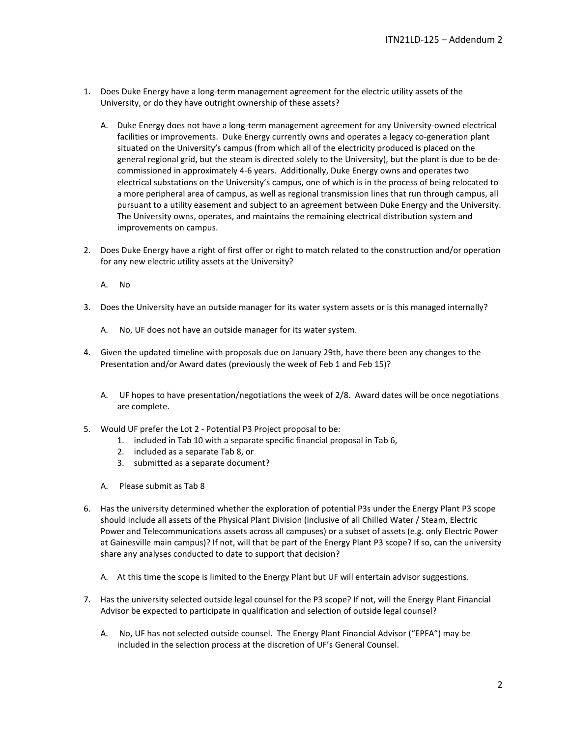- 1. Does Duke Energy have a long-term management agreement for the electric utility assets of the University, or do they have outright ownership of these assets?
	- A. Duke Energy does not have a long-term management agreement for any University-owned electrical facilities or improvements. Duke Energy currently owns and operates a legacy co-generation plant situated on the University's campus (from which all of the electricity produced is placed on the general regional grid, but the steam is directed solely to the University), but the plant is due to be decommissioned in approximately 4-6 years. Additionally, Duke Energy owns and operates two electrical substations on the University's campus, one of which is in the process of being relocated to a more peripheral area of campus, as well as regional transmission lines that run through campus, all pursuant to a utility easement and subject to an agreement between Duke Energy and the University. The University owns, operates, and maintains the remaining electrical distribution system and improvements on campus.
- 2. Does Duke Energy have a right of first offer or right to match related to the construction and/or operation for any new electric utility assets at the University?
	- A. No
- 3. Does the University have an outside manager for its water system assets or is this managed internally?
	- A. No, UF does not have an outside manager for its water system.
- 4. Given the updated timeline with proposals due on January 29th, have there been any changes to the Presentation and/or Award dates (previously the week of Feb 1 and Feb 15)?
	- A. UF hopes to have presentation/negotiations the week of 2/8. Award dates will be once negotiations are complete.
- 5. Would UF prefer the Lot 2 Potential P3 Project proposal to be:
	- 1. included in Tab 10 with a separate specific financial proposal in Tab 6,
	- 2. included as a separate Tab 8, or
	- 3. submitted as a separate document?
	- A. Please submit as Tab 8
- 6. Has the university determined whether the exploration of potential P3s under the Energy Plant P3 scope should include all assets of the Physical Plant Division (inclusive of all Chilled Water / Steam, Electric Power and Telecommunications assets across all campuses) or a subset of assets (e.g. only Electric Power at Gainesville main campus)? If not, will that be part of the Energy Plant P3 scope? If so, can the university share any analyses conducted to date to support that decision?
	- A. At this time the scope is limited to the Energy Plant but UF will entertain advisor suggestions.
- 7. Has the university selected outside legal counsel for the P3 scope? If not, will the Energy Plant Financial Advisor be expected to participate in qualification and selection of outside legal counsel?
	- A. No, UF has not selected outside counsel. The Energy Plant Financial Advisor ("EPFA") may be included in the selection process at the discretion of UF's General Counsel.